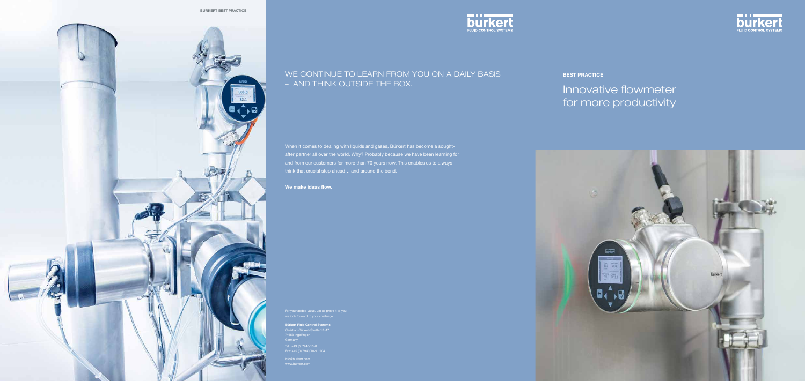

When it comes to dealing with liquids and gases, Bürkert has become a soughtafter partner all over the world. Why? Probably because we have been learning for and from our customers for more than 70 years now. This enables us to always think that crucial step ahead… and around the bend.

We make ideas flow.

# Innovative flowmeter for more productivity



### WE CONTINUE TO LEARN FROM YOU ON A DAILY BASIS – AND THINK OUTSIDE THE BOX.

we look forward to your challenge.

Bürkert Fluid Control Systems Christian-Bürkert-Straße 13-17 74653 Ingelfingen **Germany** Tel.: +49 (0) 7940/10-0 Fax: +49 (0) 7940/10-91 204





**BEST PRACTICE**